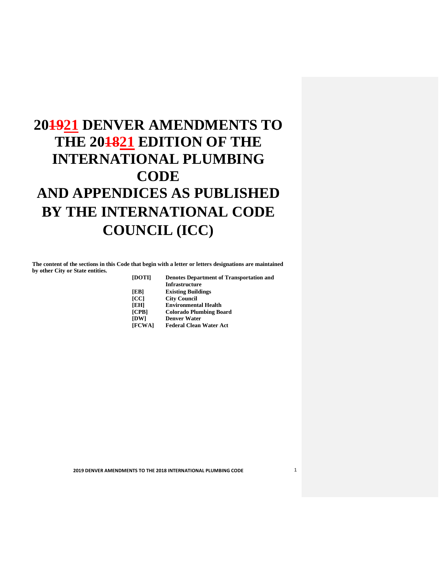# **201921 DENVER AMENDMENTS TO THE 201821 EDITION OF THE BY THE INTERNATIONAL CODE COUNCIL (ICC) INTERNATIONAL PLUMBING CODE AND APPENDICES AS PUBLISHED**

 **The content of the sections in this Code that begin with a letter or letters designations are maintained by other City or State entities.** 

| <b>Denotes Department of Transportation and</b> |
|-------------------------------------------------|
| <b>Infrastructure</b>                           |
| <b>Existing Buildings</b>                       |
| <b>City Council</b>                             |
| <b>Environmental Health</b>                     |
| <b>Colorado Plumbing Board</b>                  |
| <b>Denver Water</b>                             |
| <b>Federal Clean Water Act</b>                  |
|                                                 |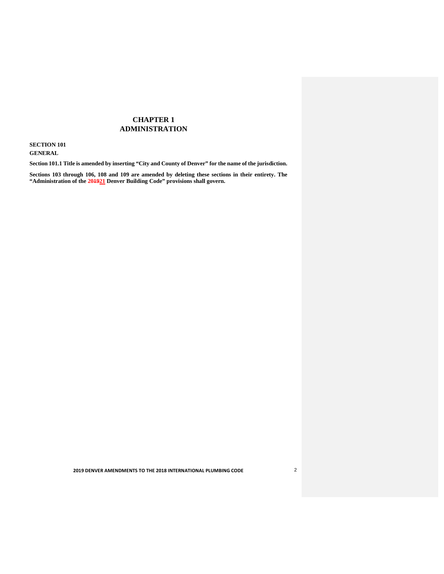# **CHAPTER 1 ADMINISTRATION**

 **SECTION 101** 

**GENERAL** 

 **Section 101.1 Title is amended by inserting "City and County of Denver" for the name of the jurisdiction.** 

 **Sections 103 through 106, 108 and 109 are amended by deleting these sections in their entirety. The "Administration of the 201921 Denver Building Code" provisions shall govern.**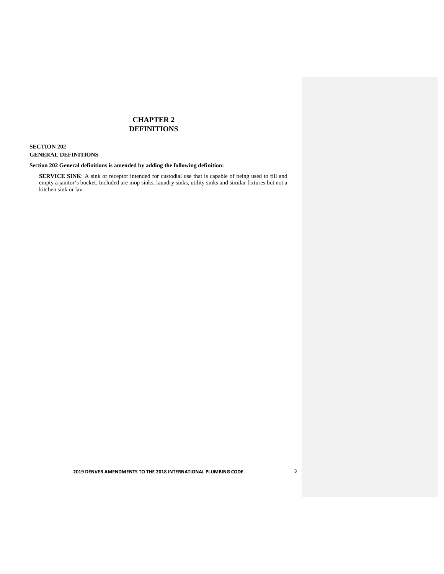# **CHAPTER 2 DEFINITIONS**

### **SECTION 202 GENERAL DEFINITIONS**

#### **Section 202 General definitions is amended by adding the following definition:**

 kitchen sink or lav. **SERVICE SINK**: A sink or receptor intended for custodial use that is capable of being used to fill and empty a janitor's bucket. Included are mop sinks, laundry sinks, utility sinks and similar fixtures but not a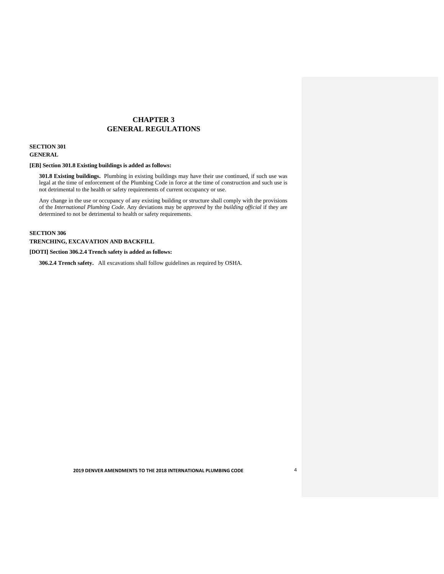# **CHAPTER 3 GENERAL REGULATIONS**

### **SECTION 301 GENERAL**

#### **[EB] Section 301.8 Existing buildings is added as follows:**

 not detrimental to the health or safety requirements of current occupancy or use. **301.8 Existing buildings.** Plumbing in existing buildings may have their use continued, if such use was legal at the time of enforcement of the Plumbing Code in force at the time of construction and such use is

 Any change in the use or occupancy of any existing building or structure shall comply with the provisions of the *International Plumbing Code*. Any deviations may be *approved* by the *building official* if they are determined to not be detrimental to health or safety requirements.

#### **SECTION 306**

#### **TRENCHING, EXCAVATION AND BACKFILL**

#### **[DOTI] Section 306.2.4 Trench safety is added as follows:**

 **306.2.4 Trench safety.** All excavations shall follow guidelines as required by OSHA.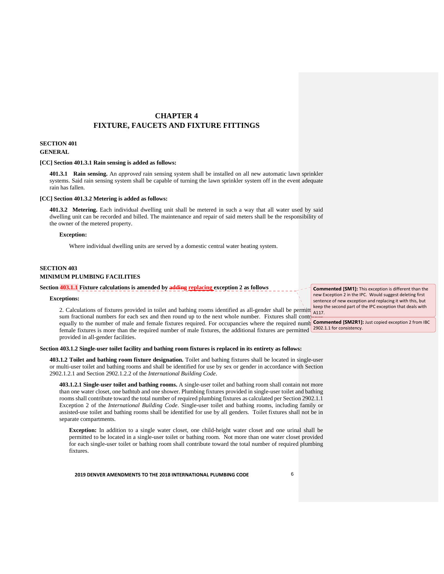# **CHAPTER 4 FIXTURE, FAUCETS AND FIXTURE FITTINGS**

### **SECTION 401 GENERAL**

#### [CC] Section 401.3.1 Rain sensing is added as follows:

**401.3.1 Rain sensing.** An *approved* rain sensing system shall be installed on all new automatic lawn sprinkler  systems. Said rain sensing system shall be capable of turning the lawn sprinkler system off in the event adequate rain has fallen.

#### [CC] Section 401.3.2 Metering is added as follows:

**401.3.2 Metering.** Each individual dwelling unit shall be metered in such a way that all water used by said dwelling unit can be recorded and billed. The maintenance and repair of said meters shall be the responsibility of the owner of the metered property.

### **Exception:**

Where individual dwelling units are served by a domestic central water heating system.

### **SECTION 403 MINIMUM PLUMBING FACILITIES**

### **Section 403.1.1 Fixture calculations is amended by adding replacing exception 2 as follows**

### **Exceptions:**

2. Calculations of fixtures provided in toilet and bathing rooms identified as all-gender shall be permitt  $\frac{\text{keep }t}{\text{A117}}$ . sum fractional numbers for each sex and then round up to the next whole number. Fixtures shall cont equally to the number of male and female fixtures required. For occupancies where the required numb **Commented [SM2R1]:** Just copied exception 2 from IBC female fixtures is more than the required number of male fixtures, the additional fixtures are permitted  $\frac{2902.1.1 \text{ for consistency.}}{2002.1}$ provided in all-gender facilities.

#### **Section 403.1.2 Single-user toilet facility and bathing room fixtures is replaced in its entirety as follows:**

 **403.1.2 Toilet and bathing room fixture designation.** Toilet and bathing fixtures shall be located in single-user or multi-user toilet and bathing rooms and shall be identified for use by sex or gender in accordance with Section 2902.1.2.1 and Section 2902.1.2.2 of the *International Building Code*.

 **403.1.2.1 Single-user toilet and bathing rooms.** A single-user toilet and bathing room shall contain not more than one water closet, one bathtub and one shower. Plumbing fixtures provided in single-user toilet and bathing rooms shall contribute toward the total number of required plumbing fixtures as calculated per Section 2902.1.1 Exception 2 of the *International Building Code*. Single-user toilet and bathing rooms, including family or assisted-use toilet and bathing rooms shall be identified for use by all genders. Toilet fixtures shall not be in separate compartments.

 **Exception:** In addition to a single water closet, one child-height water closet and one urinal shall be permitted to be located in a single-user toilet or bathing room. Not more than one water closet provided for each single-user toilet or bathing room shall contribute toward the total number of required plumbing fixtures.

 **2019 DENVER AMENDMENTS TO THE 2018 INTERNATIONAL PLUMBING CODE** 6

 **Commented [SM1]:** This exception is different than the new Exception 2 in the IPC. Would suggest deleting first sentence of new exception and replacing it with this, but keep the second part of the IPC exception that deals with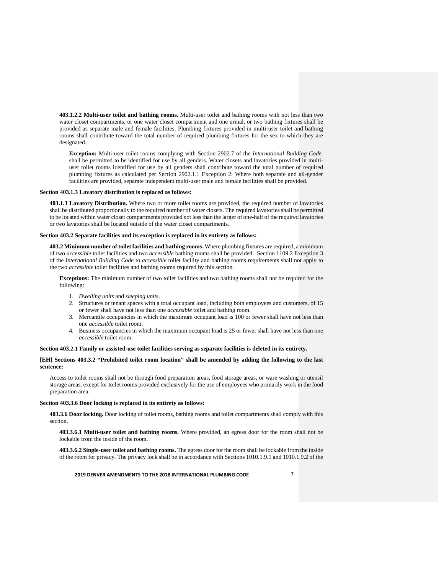**403.1.2.2 Multi-user toilet and bathing rooms.** Multi-user toilet and bathing rooms with not less than two water closet compartments, or one water closet compartment and one urinal, or two bathing fixtures shall be provided as separate male and female facilities. Plumbing fixtures provided in multi-user toilet and bathing rooms shall contribute toward the total number of required plumbing fixtures for the sex to which they are designated.

 **Exception:** Multi-user toilet rooms complying with Section 2902.7 of the *International Building Code*. shall be permitted to be identified for use by all genders. Water closets and lavatories provided in multi- user toilet rooms identified for use by all genders shall contribute toward the total number of required plumbing fixtures as calculated per Section 2902.1.1 Exception 2. Where both separate and all-gender facilities are provided, separate independent multi-user male and female facilities shall be provided.

#### **Section 403.1.3 Lavatory distribution is replaced as follows:**

 **403.1.3 Lavatory Distribution.** Where two or more toilet rooms are provided, the required number of lavatories shall be distributed proportionally to the required number of water closets. The required lavatories shall be permitted to be located within water closet compartments provided not less than the larger of one-half of the required lavatories or two lavatories shall be located outside of the water closet compartments.

#### **Section 403.2 Separate facilities and its exception is replaced in its entirety as follows:**

 **403.2 Minimum number of toilet facilities and bathing rooms.** Where plumbing fixtures are required, a minimum of two *accessible* toilet facilities and two *accessible* bathing rooms shall be provided. Section 1109.2 Exception 3 of the *International Building Code* to *accessible* toilet facility and bathing rooms requirements shall not apply to the two *accessible* toilet facilities and bathing rooms required by this section.

 **Exceptions:** The minimum number of two toilet facilities and two bathing rooms shall not be required for the following:

- 1. *Dwelling units* and *sleeping units*.
- 2. Structures or tenant spaces with a total occupant load, including both employees and customers, of 15 or fewer shall have not less than one *accessible* toilet and bathing room.
- 3. Mercantile occupancies in which the maximum occupant load is 100 or fewer shall have not less than one *accessible* toilet room.
- 4. Business occupancies in which the maximum occupant load is 25 or fewer shall have not less than one *accessible* toilet room.

#### **Section 403.2.1 Family or assisted-use toilet facilities serving as separate facilities is deleted in its entirety.**

### **[EH] Sections 403.3.2 "Prohibited toilet room location" shall be amended by adding the following to the last sentence:**

 Access to toilet rooms shall not be through food preparation areas, food storage areas, or ware washing or utensil storage areas, except for toilet rooms provided exclusively for the use of employees who primarily work in the food preparation area.

#### **Section 403.3.6 Door locking is replaced in its entirety as follows:**

 **403.3.6 Door locking.** Door locking of toilet rooms, bathing rooms and toilet compartments shall comply with this section.

 **403.3.6.1 Multi-user toilet and bathing rooms.** Where provided, an egress door for the room shall not be lockable from the inside of the room.

 **403.3.6.2 Single-user toilet and bathing rooms.** The egress door for the room shall be lockable from the inside of the room for privacy. The privacy lock shall be in accordance with Sections 1010.1.9.1 and 1010.1.9.2 of the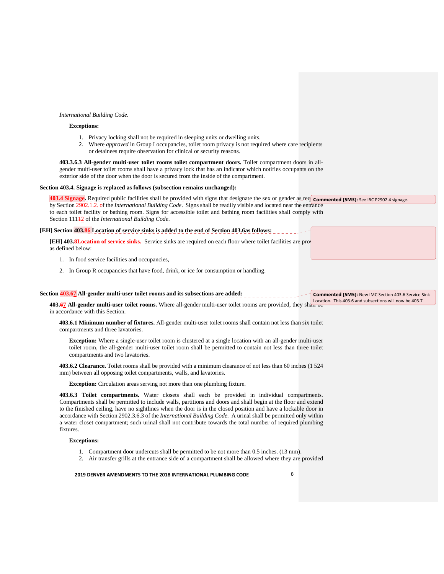#### *International Building Code*.

### **Exceptions:**

- 1. Privacy locking shall not be required in sleeping units or dwelling units.
- 2. Where *approved* in Group I occupancies, toilet room privacy is not required where care recipients or detainees require observation for clinical or security reasons.

**403.3.6.3 All-gender multi-user toilet rooms toilet compartment doors.** Toilet compartment doors in all gender multi-user toilet rooms shall have a privacy lock that has an indicator which notifies occupants on the exterior side of the door when the door is secured from the inside of the compartment.

#### **Section 403.4. Signage is replaced as follows (subsection remains unchanged):**

403.4 Signage. Required public facilities shall be provided with signs that designate the sex or gender as req **Commented [SM3]:** See IBC P2902.4 signage. by Section 2902.1.2. of the *International Building Code*. Signs shall be readily visible and located near the entrance to each toilet facility or bathing room. Signs for accessible toilet and bathing room facilities shall comply with Section 111<sup>1</sup>2 of the *International Building Code*.

# **[EH] Section 403.86 Location of service sinks is added to the end of Section 403.6as follows: Commented [SM4]:** New Section added to IMC on

**[EH] 403.8Location of service sinks.** Service sinks are required on each floor where toilet facilities are properties as defined below: sinks to this location and just added language to this location and just added language to the end of end of end of end of end of end of end of end of end of end of end of end of end of end of end of end as defined below:

- 1. In food service facilities and occupancies,
- 2. In Group R occupancies that have food, drink, or ice for consumption or handling.

### Section **403.67** All-gender multi-user toilet rooms and its subsections are added:

**403.67 All-gender multi-user toilet rooms.** Where all-gender multi-user toilet rooms are provided, they shall be in accordance with this Section.

 **403.6.1 Minimum number of fixtures.** All-gender multi-user toilet rooms shall contain not less than six toilet compartments and three lavatories.

 **Exception:** Where a single-user toilet room is clustered at a single location with an all-gender multi-user toilet room, the all-gender multi-user toilet room shall be permitted to contain not less than three toilet compartments and two lavatories.

 **403.6.2 Clearance.** Toilet rooms shall be provided with a minimum clearance of not less than 60 inches (1 524 mm) between all opposing toilet compartments, walls, and lavatories.

**Exception:** Circulation areas serving not more than one plumbing fixture.

 **403.6.3 Toilet compartments.** Water closets shall each be provided in individual compartments. Compartments shall be permitted to include walls, partitions and doors and shall begin at the floor and extend to the finished ceiling, have no sightlines when the door is in the closed position and have a lockable door in accordance with Section 2902.3.6.3 of the *International Building Code*. A urinal shall be permitted only within a water closet compartment; such urinal shall not contribute towards the total number of required plumbing fixtures.

# **Exceptions:**

- 1. Compartment door undercuts shall be permitted to be not more than 0.5 inches. (13 mm).
- 2. Air transfer grills at the entrance side of a compartment shall be allowed where they are provided

 **2019 DENVER AMENDMENTS TO THE 2018 INTERNATIONAL PLUMBING CODE** 8

 **Commented [SM5]:** New IMC Section 403.6 Service Sink Location. This 403.6 and subsections will now be 403.7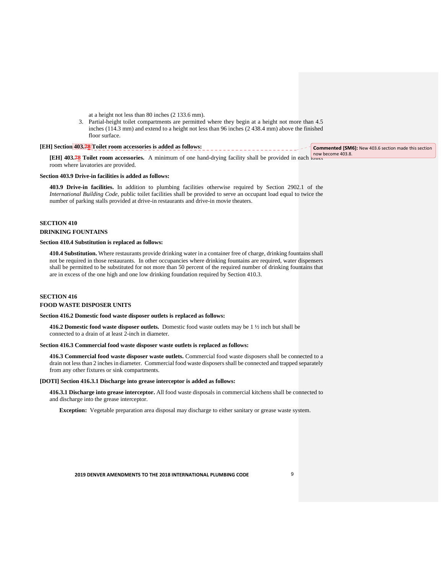at a height not less than 80 inches (2 133.6 mm).

3. Partial-height toilet compartments are permitted where they begin at a height not more than 4.5 inches (114.3 mm) and extend to a height not less than 96 inches (2 438.4 mm) above the finished floor surface.

| [EH] Section 403.78 Toilet room accessories is added as follows:                                                  | Commented [SM6]: New 403.6 section made this section |
|-------------------------------------------------------------------------------------------------------------------|------------------------------------------------------|
| <b>[EH]</b> 403.78 Toilet room accessories. A minimum of one hand-drying facility shall be provided in each tonce | $\mid$ now become 403.8.                             |

room where lavatories are provided.

#### **Section 403.9 Drive-in facilities is added as follows:**

 **403.9 Drive-in facilities.** In addition to plumbing facilities otherwise required by Section 2902.1 of the *International Building Code*, public toilet facilities shall be provided to serve an occupant load equal to twice the number of parking stalls provided at drive-in restaurants and drive-in movie theaters.

### **SECTION 410 DRINKING FOUNTAINS**

#### **Section 410.4 Substitution is replaced as follows:**

 **410.4 Substitution.** Where restaurants provide drinking water in a container free of charge, drinking fountains shall not be required in those restaurants. In other occupancies where drinking fountains are required, water dispensers shall be permitted to be substituted for not more than 50 percent of the required number of drinking fountains that are in excess of the one high and one low drinking foundation required by Section 410.3.

# **SECTION 416**

# **FOOD WASTE DISPOSER UNITS**

#### **Section 416.2 Domestic food waste disposer outlets is replaced as follows:**

 **416.2 Domestic food waste disposer outlets.** Domestic food waste outlets may be 1 ½ inch but shall be connected to a drain of at least 2-inch in diameter.

#### **Section 416.3 Commercial food waste disposer waste outlets is replaced as follows:**

 **416.3 Commercial food waste disposer waste outlets.** Commercial food waste disposers shall be connected to a drain not less than 2 inches in diameter. Commercial food waste disposers shall be connected and trapped separately from any other fixtures or sink compartments.

#### **[DOTI] Section 416.3.1 Discharge into grease interceptor is added as follows:**

 **416.3.1 Discharge into grease interceptor.** All food waste disposals in commercial kitchens shall be connected to and discharge into the grease interceptor.

**Exception:** Vegetable preparation area disposal may discharge to either sanitary or grease waste system.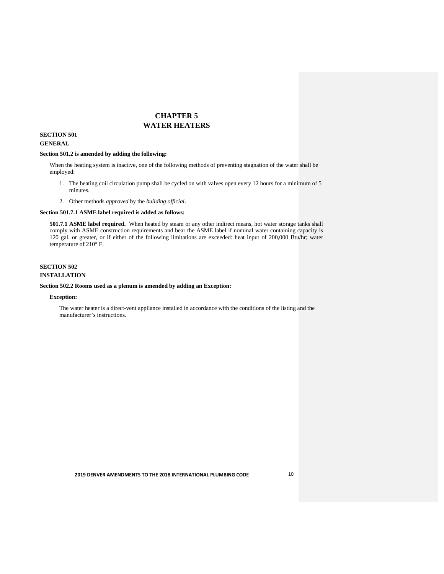# **CHAPTER 5 WATER HEATERS**

# **SECTION 501**

# **GENERAL**

### **Section 501.2 is amended by adding the following:**

 When the heating system is inactive, one of the following methods of preventing stagnation of the water shall be employed:

- 1. The heating coil circulation pump shall be cycled on with valves open every 12 hours for a minimum of 5 minutes.
- 2. Other methods *approved* by the *building official*.

### **Section 501.7.1 ASME label required is added as follows:**

 **501.7.1 ASME label required.** When heated by steam or any other indirect means, hot water storage tanks shall comply with ASME construction requirements and bear the ASME label if nominal water containing capacity is 120 gal. or greater, or if either of the following limitations are exceeded: heat input of 200,000 Btu/hr; water temperature of 210° F.

# **SECTION 502**

# **INSTALLATION**

### **Section 502.2 Rooms used as a plenum is amended by adding an Exception:**

# **Exception:**

 The water heater is a direct-vent appliance installed in accordance with the conditions of the listing and the manufacturer's instructions.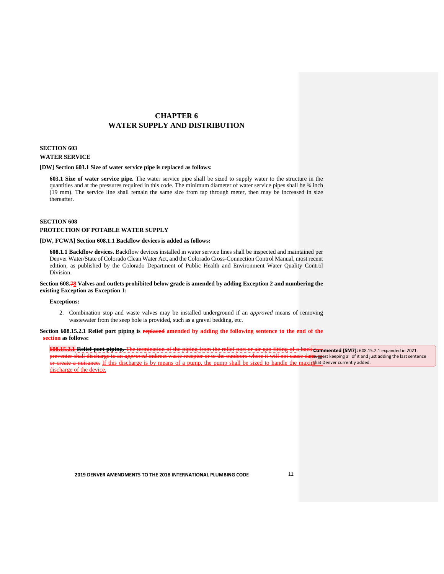# **CHAPTER 6 WATER SUPPLY AND DISTRIBUTION**

# **SECTION 603 WATER SERVICE**

#### **[DW] Section 603.1 Size of water service pipe is replaced as follows:**

 **603.1 Size of water service pipe.** The water service pipe shall be sized to supply water to the structure in the quantities and at the pressures required in this code. The minimum diameter of water service pipes shall be ¾ inch (19 mm). The service line shall remain the same size from tap through meter, then may be increased in size thereafter.

#### **SECTION 608**

#### **PROTECTION OF POTABLE WATER SUPPLY**

#### **[DW, FCWA] Section 608.1.1 Backflow devices is added as follows:**

 **608.1.1 Backflow devices.** Backflow devices installed in water service lines shall be inspected and maintained per Denver Water/State of Colorado Clean Water Act, and the Colorado Cross-Connection Control Manual, most recent edition, as published by the Colorado Department of Public Health and Environment Water Quality Control Division.

 **Section 608.78 Valves and outlets prohibited below grade is amended by adding Exception 2 and numbering the existing Exception as Exception 1:** 

### **Exceptions:**

 2. Combination stop and waste valves may be installed underground if an *approved* means of removing wastewater from the seep hole is provided, such as a gravel bedding, etc.

Section 608.15.2.1 Relief port piping is **replaced** amended by adding the following sentence to the end of the **section as follows:** 

 $\overline{a}$ 608.15.2.1 Relief port piping. The preventer shall discharge to an *am* or create a nuisance. If this discharge is by means of a pump, the pump shall be sized to handle the maximulated Denver currently added. discharge of the device.  flow **608.15.2.1 Relief port piping.** The termination of the piping from the relief port or air gap fitting of a back **Commented [SM7]:** 608.15.2.1 expanded in 2021. preventer shall discharge to an *approved* indirect waste receptor or to the outdoors where it will not cause dansuggest keeping all of it and just adding the last sentence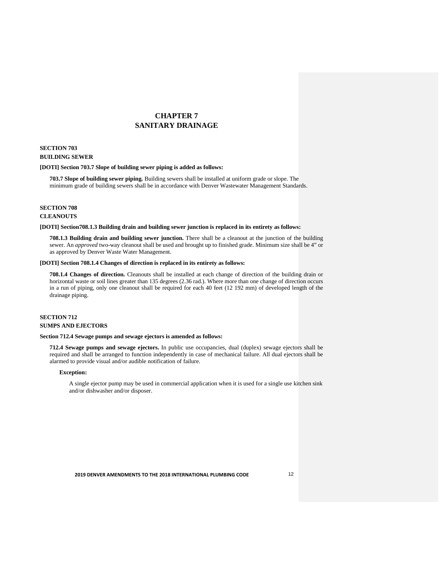# **CHAPTER 7 SANITARY DRAINAGE**

# **SECTION 703 BUILDING SEWER**

#### **[DOTI] Section 703.7 Slope of building sewer piping is added as follows:**

 **703.7 Slope of building sewer piping.** Building sewers shall be installed at uniform grade or slope. The minimum grade of building sewers shall be in accordance with Denver Wastewater Management Standards.

#### **SECTION 708**

# **CLEANOUTS**

#### **[DOTI] Section708.1.3 Building drain and building sewer junction is replaced in its entirety as follows:**

 **708.1.3 Building drain and building sewer junction.** There shall be a cleanout at the junction of the building sewer. An *approved* two-way cleanout shall be used and brought up to finished grade. Minimum size shall be 4" or as approved by Denver Waste Water Management.

#### **[DOTI] Section 708.1.4 Changes of direction is replaced in its entirety as follows:**

 **708.1.4 Changes of direction.** Cleanouts shall be installed at each change of direction of the building drain or horizontal waste or soil lines greater than 135 degrees (2.36 rad.). Where more than one change of direction occurs in a run of piping, only one cleanout shall be required for each 40 feet (12 192 mm) of developed length of the drainage piping.

# **SECTION 712 SUMPS AND EJECTORS**

#### **Section 712.4 Sewage pumps and sewage ejectors is amended as follows:**

 **712.4 Sewage pumps and sewage ejectors.** In public use occupancies, dual (duplex) sewage ejectors shall be required and shall be arranged to function independently in case of mechanical failure. All dual ejectors shall be alarmed to provide visual and/or audible notification of failure.

### **Exception:**

 A single ejector pump may be used in commercial application when it is used for a single use kitchen sink and/or dishwasher and/or disposer.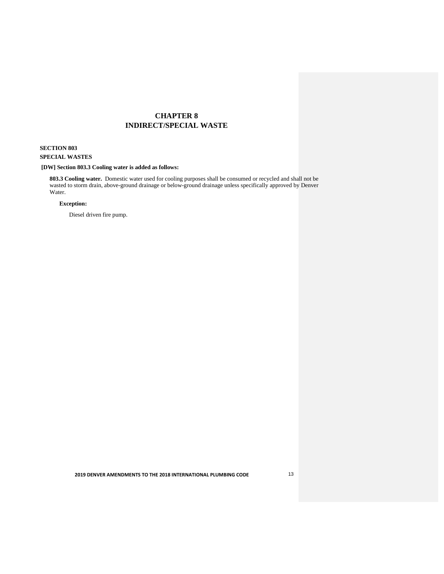# **CHAPTER 8 INDIRECT/SPECIAL WASTE**

# **SECTION 803 SPECIAL WASTES**

#### **[DW] Section 803.3 Cooling water is added as follows:**

 **803.3 Cooling water.** Domestic water used for cooling purposes shall be consumed or recycled and shall not be wasted to storm drain, above-ground drainage or below-ground drainage unless specifically approved by Denver Water.

# **Exception:**

Diesel driven fire pump.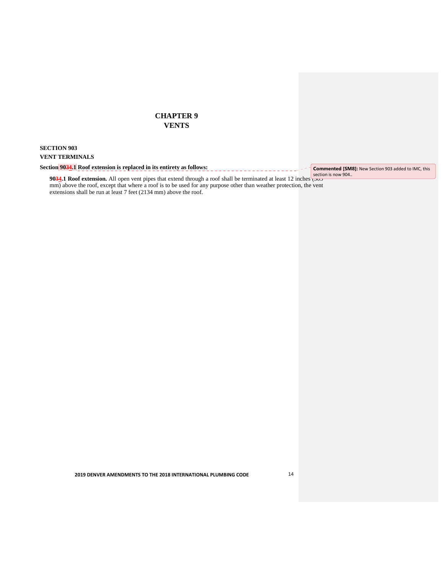# **CHAPTER 9 VENTS**

### **SECTION 903 VENT TERMINALS**

Section 9034.1 Roof extension is replaced in its entirety as follows:  **Commented [SM8]:** New Section 903 added to IMC, this

**9034.1 Roof extension.** All open vent pipes that extend through a roof shall be terminated at least 12 inches mm) above the roof, except that where a roof is to be used for any purpose other than weather protection, the vent extensions shall be run at least 7 feet (2134 mm) above the roof.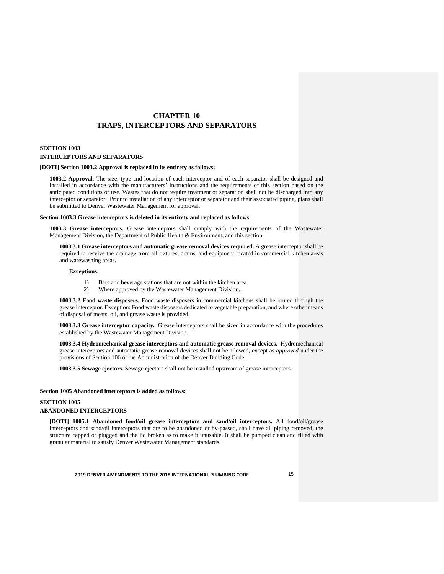# **CHAPTER 10 TRAPS, INTERCEPTORS AND SEPARATORS**

# **SECTION 1003 INTERCEPTORS AND SEPARATORS**

#### **[DOTI] Section 1003.2 Approval is replaced in its entirety as follows:**

**1003.2 Approval.** The size, type and location of each interceptor and of each separator shall be designed and installed in accordance with the manufacturers' instructions and the requirements of this section based on the anticipated conditions of use. Wastes that do not require treatment or separation shall not be discharged into any interceptor or separator. Prior to installation of any interceptor or separator and their associated piping, plans shall be submitted to Denver Wastewater Management for approval.

#### **Section 1003.3 Grease interceptors is deleted in its entirety and replaced as follows:**

 **1003.3 Grease interceptors.** Grease interceptors shall comply with the requirements of the Wastewater Management Division, the Department of Public Health & Environment, and this section.

 **1003.3.1 Grease interceptors and automatic grease removal devices required.** A grease interceptor shall be required to receive the drainage from all fixtures, drains, and equipment located in commercial kitchen areas and warewashing areas.

### **Exceptions:**

- 1) Bars and beverage stations that are not within the kitchen area.
- 2) Where approved by the Wastewater Management Division.

 **1003.3.2 Food waste disposers.** Food waste disposers in commercial kitchens shall be routed through the grease interceptor. Exception: Food waste disposers dedicated to vegetable preparation, and where other means of disposal of meats, oil, and grease waste is provided.

 **1003.3.3 Grease interceptor capacity.** Grease interceptors shall be sized in accordance with the procedures established by the Wastewater Management Division.

 **1003.3.4 Hydromechanical grease interceptors and automatic grease removal devices.** Hydromechanical grease interceptors and automatic grease removal devices shall not be allowed, except as *approved* under the provisions of Section 106 of the Administration of the Denver Building Code.

 **1003.3.5 Sewage ejectors.** Sewage ejectors shall not be installed upstream of grease interceptors.

#### **Section 1005 Abandoned interceptors is added as follows:**

### **SECTION 1005**

# **ABANDONED INTERCEPTORS**

 **[DOTI] 1005.1 Abandoned food/oil grease interceptors and sand/oil interceptors.** All food/oil/grease interceptors and sand/oil interceptors that are to be abandoned or by-passed, shall have all piping removed, the structure capped or plugged and the lid broken as to make it unusable. It shall be pumped clean and filled with granular material to satisfy Denver Wastewater Management standards.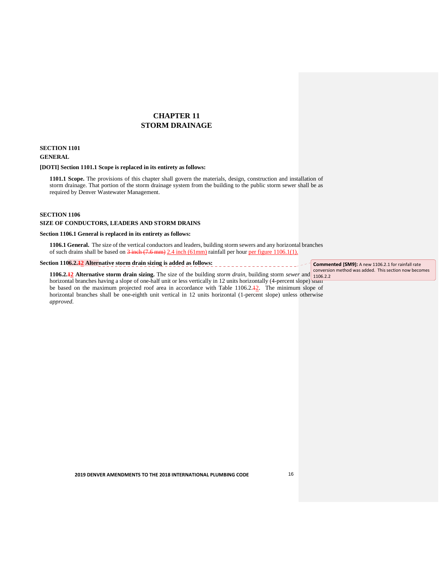# **CHAPTER 11 STORM DRAINAGE**

# **SECTION 1101 GENERAL**

#### **[DOTI] Section 1101.1 Scope is replaced in its entirety as follows:**

**1101.1 Scope.** The provisions of this chapter shall govern the materials, design, construction and installation of  storm drainage. That portion of the storm drainage system from the building to the public storm sewer shall be as required by Denver Wastewater Management.

#### **SECTION 1106**

 $\mathcal{L}$ 

#### **SIZE OF CONDUCTORS, LEADERS AND STORM DRAINS**

#### **Section 1106.1 General is replaced in its entirety as follows:**

**1106.1 General.** The size of the vertical conductors and leaders, building storm sewers and any horizontal branches  of such drains shall be based on  $3$  inch  $(7.6 \text{ mm})$   $2.4$  inch  $(61 \text{ mm})$  rainfall per hour per figure 1106.1(1).

| Section 1106.2.42 Alternative storm drain sizing is added as follows:                                                                         | Commented [SM9]: A new 1106.2.1 for rainfall rate     |
|-----------------------------------------------------------------------------------------------------------------------------------------------|-------------------------------------------------------|
|                                                                                                                                               | conversion method was added. This section now becomes |
| 1106.2.12 Alternative storm drain sizing. The size of the building <i>storm drain</i> , building storm <i>sewer</i> and $\frac{10622}{10622}$ |                                                       |

1106.2.<sup>12</sup> Alternative storm drain sizing. The size of the building *storm drain*, building storm *sewer* and  $\frac{106.2.2}{1106.2.2}$  horizontal branches having a slope of one-half unit or less vertically in 12 units hori be based on the maximum projected roof area in accordance with Table 1106.2.<sup>12</sup>. The minimum slope of horizontal branches shall be one-eighth unit vertical in 12 units horizontal (1-percent slope) unless otherwise *approved*.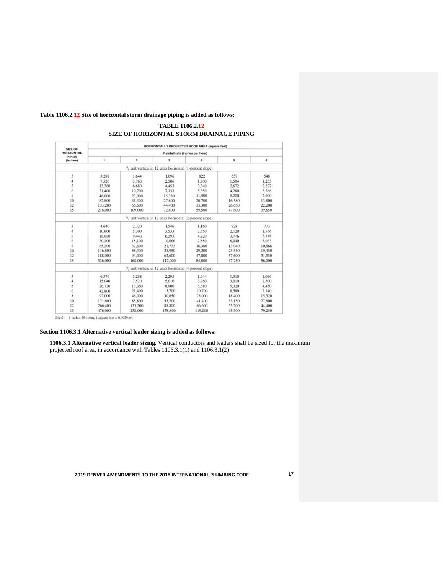#### **Table [1106.2.12](https://1106.2.12) Size of horizontal storm drainage piping is added as follows:**

#### HORIZONTALLY PROJECTED ROOF AREA (square feet) **SIZE OF<br>HORIZONTAL<br>PIPING<br>(inches)** Rainfall rate (inches per hour)  $\overline{1}$  $\overline{\mathbf{2}}$  $\overline{\mathbf{3}}$  $\overline{a}$ 5 6  $^{1}\!/_{8}$  unit vertical in 12 units horizontal (1-percent slope)  $\overline{\mathbf{3}}$ 3,288 1,644 1,096 822 657 548  $\begin{array}{c} 4 \\ 5 \end{array}$ 7,520<br>13,360 3,760<br>6,680 2,506 1,800<br>3,340 1,504<br>2,672  $1,253$ <br>2,227 4,453 21,400<br>46,000 4,280<br>9,200 3,566<br>7,600 6 10,700 7,133 5.350 11,500 23,000 15,330  $\begin{array}{c} 8 \\ 10 \\ 12 \\ 15 \end{array}$ 82,800<br>133,200 41,400 27,600<br>44,400 20,700<br>33,300 16,580<br>26,650 13,800<br>22,200 218,000 109,000 72,800 59,500 47,600 39,650  $^{1}/_{4}$  unit vertical in 12 units horizontal (2-percent slope)  $\ensuremath{\mathsf{3}}$ 4,640 2,320 1,546 1,160 928 773 10,600<br>18,880 3,533<br>6,293 2,650<br>4,720 2,120<br>3,776 1,766<br>3,146  $\sqrt{4}$ 5,300 9,440 5 30,200<br>65,200 10,066<br>21,733 5,033<br>10,866  $\boldsymbol{6}$ 15,100 7,550 6,040 16,300 32,600 13,040 8 58,400 29,200<br>47,000 23,350  $\frac{10}{12}$ 116,800 38,950 19,450 188,000 31,350 62,600  $15$ 336,000 168,000 112,000 84,000 67,250 56,000  $\frac{1}{2}$  unit vertical in 12 units horizontal (4-percent slope) 6,576 3,288 2.295 1,644 1,310  $\frac{3}{4}$ 1,096 15,040 7,520 5,010 3,760 3,010 2,500  $4,450$ <br> $7,140$ 26,720  $\overline{5}$ 13,360 8.900 6.680 5.320 42,800 21,400 13,700 10,700 8,580 6 8 92,000 46,000 30.650 23,000 18,400 15,320 171,600 41,400 10 85,800 55,200 33,150 27,600

88,800

158,800

# **SIZE OF HORIZONTAL STORM DRAINAGE PIPING TABLE [1106.2.12](https://1106.2.12)**

For SI: 1 inch = 25.4 mm, 1 square foot =  $0.0929$  m<sup>2</sup>.

266,400

476,000

 $12$ 

15

#### **Section 1106.3.1 Alternative vertical leader sizing is added as follows:**

133,200

238,000

 **1106.3.1 Alternative vertical leader sizing.** Vertical conductors and leaders shall be sized for the maximum projected roof area, in accordance with Tables 1106.3.1(1) and 1106.3.1(2)

66,600

119,000

53,200

95,300

44,400<br>79,250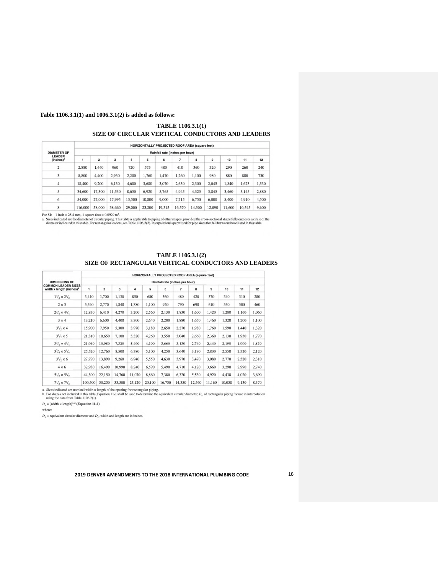#### **Table 1106.3.1(1) and 1006.3.1(2) is added as follows:**

 **TABLE 1106.3.1(1) SIZE OF CIRCULAR VERTICAL CONDUCTORS AND LEADERS** 

|                                        |         |                                 |        |        | HORIZONTALLY PROJECTED ROOF AREA (square feet) |        |        |        |        |        |        |       |
|----------------------------------------|---------|---------------------------------|--------|--------|------------------------------------------------|--------|--------|--------|--------|--------|--------|-------|
| <b>DIAMETER OF</b>                     |         | Rainfall rate (inches per hour) |        |        |                                                |        |        |        |        |        |        |       |
| <b>LEADER</b><br>(inches) <sup>a</sup> |         | $\overline{\mathbf{2}}$         | 3      | 4      | 5                                              | 6      | 7      | 8      | 9      | 10     | 11     | 12    |
| 2                                      | 2.880   | 1,440                           | 960    | 720    | 575                                            | 480    | 410    | 360    | 320    | 290    | 260    | 240   |
| 3                                      | 8,800   | 4,400                           | 2,930  | 2.200  | 1.760                                          | 1.470  | 1.260  | 1,100  | 980    | 880    | 800    | 730   |
| 4                                      | 18,400  | 9,200                           | 6.130  | 4.600  | 3,680                                          | 3,070  | 2,630  | 2,300  | 2,045  | 1.840  | 1,675  | 1,530 |
| 5                                      | 34,600  | 17.300                          | 11.530 | 8,650  | 6,920                                          | 5.765  | 4.945  | 4.325  | 3,845  | 3,460  | 3.145  | 2,880 |
| 6                                      | 54,000  | 27,000                          | 17,995 | 13,500 | 10,800                                         | 9,000  | 7.715  | 6.750  | 6,000  | 5.400  | 4.910  | 4,500 |
| 8                                      | 116,000 | 58,000                          | 38,660 | 29,000 | 23,200                                         | 19,315 | 16,570 | 14,500 | 12,890 | 11,600 | 10,545 | 9,600 |

For SI: 1 inch = 25.4 mm, 1 square foot = 0.0929 m<sup>3</sup>.<br>a. Sizes indicated are the diameter of circular piping. This table is applicable to piping of other shapes, provided the cross-sectional shape fully encloses a circle

| <b>TABLE 1106.3.1(2)</b>                            |
|-----------------------------------------------------|
| SIZE OF RECTANGULAR VERTICAL CONDUCTORS AND LEADERS |

| <b>DIMENSIONS OF</b><br><b>COMMON LEADER SIZES</b><br>width x length (inches) <sup>a</sup> | <b>HORIZONTALLY PROJECTED ROOF AREA (square feet)</b> |                                 |        |        |        |        |                |        |        |        |       |       |  |  |
|--------------------------------------------------------------------------------------------|-------------------------------------------------------|---------------------------------|--------|--------|--------|--------|----------------|--------|--------|--------|-------|-------|--|--|
|                                                                                            |                                                       | Rainfall rate (inches per hour) |        |        |        |        |                |        |        |        |       |       |  |  |
|                                                                                            | 1                                                     | $\overline{2}$                  | 3      | 4      | 5      | 6      | $\overline{7}$ | 8      | 9      | 10     | 11    | 12    |  |  |
| $1^{3}/_{4} \times 2^{1}/_{2}$                                                             | 3,410                                                 | 1,700                           | 1.130  | 850    | 680    | 560    | 480            | 420    | 370    | 340    | 310   | 280   |  |  |
| $2 \times 3$                                                                               | 5,540                                                 | 2,770                           | 1,840  | 1,380  | 1,100  | 920    | 790            | 690    | 610    | 550    | 500   | 460   |  |  |
| $2^{3}/_{4} \times 4^{1}/_{4}$                                                             | 12,830                                                | 6,410                           | 4,270  | 3,200  | 2.560  | 2,130  | 1,830          | 1,600  | 1.420  | 1,280  | 1,160 | 1,060 |  |  |
| $3 \times 4$                                                                               | 13,210                                                | 6,600                           | 4.400  | 3.300  | 2.640  | 2,200  | 1,880          | 1,650  | 1,460  | 1,320  | 1,200 | 1.100 |  |  |
| $3^{1}/_{2} \times 4$                                                                      | 15,900                                                | 7,950                           | 5,300  | 3,970  | 3,180  | 2,650  | 2,270          | 1.980  | 1,760  | 1,590  | 1,440 | 1,320 |  |  |
| $3^{1}/_{2} \times 5$                                                                      | 21,310                                                | 10,650                          | 7,100  | 5,320  | 4.260  | 3.550  | 3,040          | 2,660  | 2,360  | 2,130  | 1,930 | 1,770 |  |  |
| $3^{3}/_{4} \times 4^{3}/_{4}$                                                             | 21,960                                                | 10,980                          | 7,320  | 5.490  | 4.390  | 3,660  | 3.130          | 2.740  | 2.440  | 2,190  | 1.990 | 1.830 |  |  |
| $3^{3}/_{4} \times 5^{1}/_{4}$                                                             | 25.520                                                | 12,760                          | 8.500  | 6,380  | 5.100  | 4.250  | 3.640          | 3.190  | 2,830  | 2,550  | 2.320 | 2,120 |  |  |
| $3^{1}/_{2} \times 6$                                                                      | 27,790                                                | 13,890                          | 9,260  | 6,940  | 5,550  | 4,630  | 3,970          | 3,470  | 3,080  | 2,770  | 2,520 | 2,310 |  |  |
| $4 \times 6$                                                                               | 32,980                                                | 16,490                          | 10,990 | 8,240  | 6,590  | 5.490  | 4,710          | 4.120  | 3.660  | 3,290  | 2,990 | 2,740 |  |  |
| $5^{1}/_{2} \times 5^{1}/_{2}$                                                             | 44,300                                                | 22,150                          | 14,760 | 11,070 | 8,860  | 7,380  | 6,320          | 5,530  | 4.920  | 4,430  | 4,020 | 3,690 |  |  |
| $7\frac{1}{2} \times 7\frac{1}{2}$                                                         | 100,500                                               | 50,250                          | 33,500 | 25,120 | 20,100 | 16,750 | 14,350         | 12,560 | 11,160 | 10,050 | 9,130 | 8,370 |  |  |

a. Sizes indicated are nominal width  $\times$  length of the opening for rectangular piping. <br> b. For shapes not included in this table, Equation 11-1 shall be used to determine the equivalent circular diameter,<br>  $D_c$  of recta

 $D_e=[{\rm width}\times {\rm length}]^{1/2}$  (Equation 11-1)

where:

 $D_e$  = equivalent circular diameter and  $D_{e\prime}$  width and length are in inches.